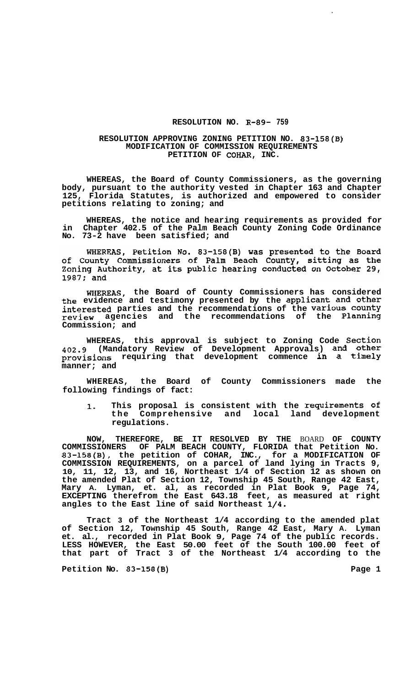## **RESOLUTION NO. R-89- 759**

## **RESOLUTION APPROVING ZONING PETITION NO. 83-158(B) MODIFICATION OF COMMISSION REQUIREMENTS PETITION OF COHAR, INC.**

**WHEREAS, the Board of County Commissioners, as the governing body, pursuant to the authority vested in Chapter 163 and Chapter 125, Florida Statutes, is authorized and empowered to consider petitions relating to zoning; and** 

**WHEREAS, the notice and hearing requirements as provided for in Chapter 402.5 of the Palm Beach County Zoning Code Ordinance No. 73-2 have been satisfied; and** 

WHEREAS, Petition No. 83-158(B) was presented to the Board<br>of County Commissioners of Palm Beach County, sitting as the<br>Zoning Authority, at its public hearing conducted on October 29, 1987; and

**WHEREAS, the Board of County Commissioners has considered the evidence and testimony presented by the applicant and other interested parties and the recommendations of the Various county review agencies and the recommendations of the Planning Commission; and** 

**WHEREAS, this approval is subject to Zoning Code Section 402.9 (Mandatory Review of Development Approvals) and other provisions requiring that development commence in a timely manner; and** 

**WHEREAS, the Board of County Commissioners made the following findings of fact:** 

**1. This proposal is consistent with the requirements of the Comprehensive and local land development regulations.** 

**NOW, THEREFORE, BE IT RESOLVED BY THE** BOARD **OF COUNTY COMMISSIONERS OF PALM BEACH COUNTY, FLORIDA that Petition No. 83-158(B), the petition of COHAR, INC., for a MODIFICATION OF COMMISSION REQUIREMENTS, on a parcel of land lying in Tracts 9, 10, 11, 12, 13, and 16, Northeast 1/4 of Section 12 as shown on the amended Plat of Section 12, Township 45 South, Range 42 East, Mary A. Lyman, et. al, as recorded in Plat Book 9, Page 74, EXCEPTING therefrom the East 643.18 feet, as measured at right angles to the East line of said Northeast 1/4.** 

**Tract 3 of the Northeast 1/4 according to the amended plat of Section 12, Township 45 South, Range 42 East, Mary A. Lyman et. al., recorded in Plat Book 9, Page 74 of the public records. LESS HOWEVER, the East 50.00 feet of the South 100.00 feet of that part of Tract 3 of the Northeast 1/4 according to the** 

Petition No. 83-158(B) **Page 1 Page 1**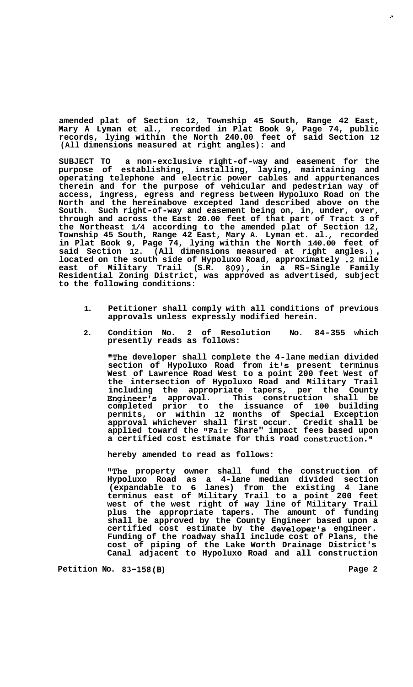**amended plat of Section 12, Township 45 South, Range 42 East, Mary A Lyman et al., recorded in Plat Book 9, Page 74, public records, lying within the North 240.00 feet of said Section 12 (All dimensions measured at right angles): and** 

**SUBJECT TO a non-exclusive right-of-way and easement for the purpose of establishing, installing, laying, maintaining and operating telephone and electric power cables and appurtenances therein and for the purpose of vehicular and pedestrian way of access, ingress, egress and regress between Hypoluxo Road on the North and the hereinabove excepted land described above on the South. Such right-of-way and easement being on, in, under, over, through and across the East 20.00 feet of that part of Tract 3 of the Northeast 1/4 according to the amended plat of Section 12, Township 45 South, Range 42 East, Mary A. Lyman et. al., recorded in Plat Book 9, Page 74, lying within the North 140.00 feet of**  located on the south side of Hypoluxo Road, approximately .2 mile **east of Military Trail (S.R. 809), in a RS-Single Family Residential Zoning District, was approved as advertised, subject to the following conditions:** 

- **1. Petitioner shall comply with all conditions of previous approvals unless expressly modified herein.**
- **2. Condition No. 2 of Resolution No. 84-355 which presently reads as follows:**

**''The developer shall complete the 4-lane median divided section of Hypoluxo Road from it's present terminus West of Lawrence Road West to a point 200 feet West of the intersection of Hypoluxo Road and Military Trail including the appropriate tapers, per the County Engineer's approval. This construction shall be completed prior to the issuance of 100 building permits, or within 12 months of Special Exception approval whichever shall first occur. Credit shall be applied toward the "Fair Share" impact fees based upon a certified cost estimate for this road construction."** 

**hereby amended to read as follows:** 

**'#The property owner shall fund the construction of Hypoluxo Road as a 4-lane median divided section (expandable to 6 lanes) from the existing 4 lane terminus east of Military Trail to a point 200 feet west of the west right of way line of Military Trail plus the appropriate tapers. The amount of funding shall be approved by the County Engineer based upon a certified cost estimate by the developer's engineer. Funding of the roadway shall include cost of Plans, the cost of piping of the Lake Worth Drainage District's Canal adjacent to Hypoluxo Road and all construction** 

Petition No. 83-158(B) **Page 2 Page 2**